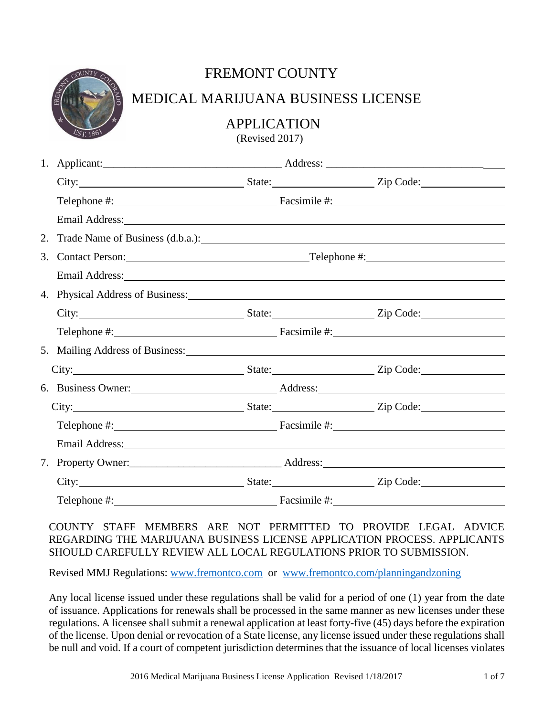| UNT     | Ċ, |  |
|---------|----|--|
| EST.186 |    |  |

## FREMONT COUNTY

### MEDICAL MARIJUANA BUSINESS LICENSE

APPLICATION

(Revised 2017)

| City: City: City: City: City: City: City: City: City: City: City: City: City: City: City: City: City: City: City: City: City: City: City: City: City: City: City: City: City: City: City: City: City: City: City: City: City:  |  |              |  |
|--------------------------------------------------------------------------------------------------------------------------------------------------------------------------------------------------------------------------------|--|--------------|--|
|                                                                                                                                                                                                                                |  |              |  |
| Email Address: No. 2016. The Contract of the Contract of the Contract of the Contract of the Contract of the Contract of the Contract of the Contract of the Contract of the Contract of the Contract of the Contract of the C |  |              |  |
|                                                                                                                                                                                                                                |  |              |  |
| 3. Contact Person: Telephone #: Telephone #:                                                                                                                                                                                   |  |              |  |
| Email Address: Note and Address and Address and Address and Address and Address and Address and Address and Address and Address and Address and Address and Address and Address and Address and Address and Address and Addres |  |              |  |
| 4. Physical Address of Business: 1986 and 2008 and 2008 and 2008 and 2008 and 2008 and 2008 and 2008 and 2008 and 2008 and 2008 and 2008 and 2008 and 2008 and 2008 and 2008 and 2008 and 2008 and 2008 and 2008 and 2008 and  |  |              |  |
| City: City: City: City: City: City: City: City: City: City: City: City: City: City: City: City: City: City: City: City: City: City: City: City: City: City: City: City: City: City: City: City: City: City: City: City: City:  |  |              |  |
|                                                                                                                                                                                                                                |  |              |  |
| 5. Mailing Address of Business: Mailing Address of Business:                                                                                                                                                                   |  |              |  |
|                                                                                                                                                                                                                                |  |              |  |
|                                                                                                                                                                                                                                |  |              |  |
|                                                                                                                                                                                                                                |  |              |  |
|                                                                                                                                                                                                                                |  |              |  |
| Email Address: Note and the set of the set of the set of the set of the set of the set of the set of the set of the set of the set of the set of the set of the set of the set of the set of the set of the set of the set of  |  |              |  |
|                                                                                                                                                                                                                                |  |              |  |
| City: City: City: City: City: City: City: City: City: City: City: City: City: City: City: City: City: City: City: City: City: City: City: City: City: City: City: City: City: City: City: City: City: City: City: City: City:  |  |              |  |
| Telephone #:                                                                                                                                                                                                                   |  | Facsimile #: |  |

COUNTY STAFF MEMBERS ARE NOT PERMITTED TO PROVIDE LEGAL ADVICE REGARDING THE MARIJUANA BUSINESS LICENSE APPLICATION PROCESS. APPLICANTS SHOULD CAREFULLY REVIEW ALL LOCAL REGULATIONS PRIOR TO SUBMISSION.

Revised MMJ Regulations: [www.fremontco.com](http://www.fremontco.com/) or [www.fremontco.com/planningandzoning](http://www.fremontco.com/planningandzoning)

Any local license issued under these regulations shall be valid for a period of one (1) year from the date of issuance. Applications for renewals shall be processed in the same manner as new licenses under these regulations. A licensee shall submit a renewal application at least forty-five (45) days before the expiration of the license. Upon denial or revocation of a State license, any license issued under these regulations shall be null and void. If a court of competent jurisdiction determines that the issuance of local licenses violates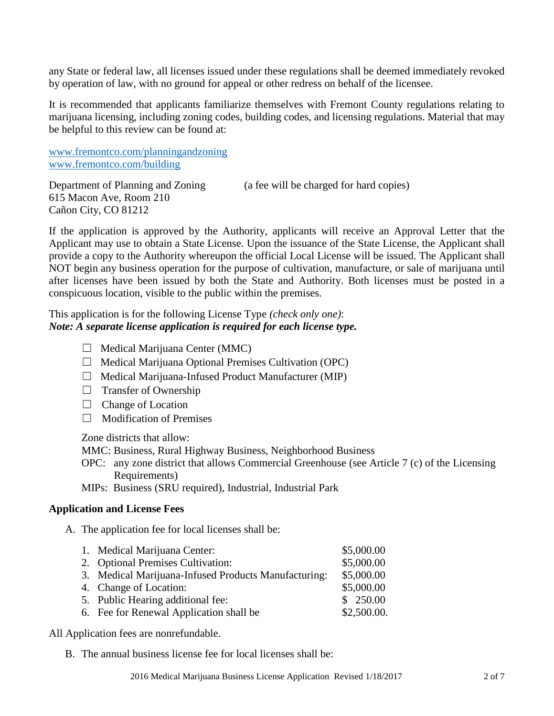any State or federal law, all licenses issued under these regulations shall be deemed immediately revoked by operation of law, with no ground for appeal or other redress on behalf of the licensee.

It is recommended that applicants familiarize themselves with Fremont County regulations relating to marijuana licensing, including zoning codes, building codes, and licensing regulations. Material that may be helpful to this review can be found at:

[www.fremontco.com/planningandzoning](http://www.fremontco.com/planningandzoning) [www.fremontco.com/building](http://www.fremontco.com/building)

Department of Planning and Zoning (a fee will be charged for hard copies) 615 Macon Ave, Room 210 Cañon City, CO 81212

If the application is approved by the Authority, applicants will receive an Approval Letter that the Applicant may use to obtain a State License. Upon the issuance of the State License, the Applicant shall provide a copy to the Authority whereupon the official Local License will be issued. The Applicant shall NOT begin any business operation for the purpose of cultivation, manufacture, or sale of marijuana until after licenses have been issued by both the State and Authority. Both licenses must be posted in a conspicuous location, visible to the public within the premises.

This application is for the following License Type *(check only one)*: *Note: A separate license application is required for each license type.*

- $\Box$  Medical Marijuana Center (MMC)
- ☐ Medical Marijuana Optional Premises Cultivation (OPC)
- $\Box$  Medical Marijuana-Infused Product Manufacturer (MIP)
- $\Box$  Transfer of Ownership
- □ Change of Location
- $\Box$  Modification of Premises

Zone districts that allow:

- MMC: Business, Rural Highway Business, Neighborhood Business
- OPC: any zone district that allows Commercial Greenhouse (see Article 7 (c) of the Licensing Requirements)
- MIPs: Business (SRU required), Industrial, Industrial Park

#### **Application and License Fees**

A. The application fee for local licenses shall be:

| 1. Medical Marijuana Center:                         | \$5,000.00  |
|------------------------------------------------------|-------------|
| 2. Optional Premises Cultivation:                    | \$5,000.00  |
| 3. Medical Marijuana-Infused Products Manufacturing: | \$5,000.00  |
| 4. Change of Location:                               | \$5,000.00  |
| 5. Public Hearing additional fee:                    | \$250.00    |
| 6. Fee for Renewal Application shall be              | \$2,500.00. |

#### All Application fees are nonrefundable.

B. The annual business license fee for local licenses shall be: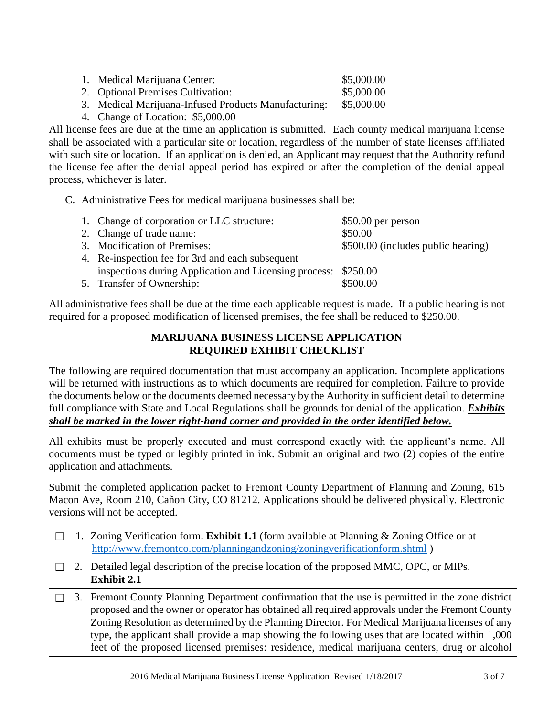| 1. Medical Marijuana Center:      | \$5,000.00      |
|-----------------------------------|-----------------|
| 2. Optional Premises Cultivation: | \$5,000.00      |
| .                                 | $A = A A A A A$ |

- 3. Medical Marijuana-Infused Products Manufacturing: \$5,000.00
- 4. Change of Location: \$5,000.00

All license fees are due at the time an application is submitted. Each county medical marijuana license shall be associated with a particular site or location, regardless of the number of state licenses affiliated with such site or location. If an application is denied, an Applicant may request that the Authority refund the license fee after the denial appeal period has expired or after the completion of the denial appeal process, whichever is later.

C. Administrative Fees for medical marijuana businesses shall be:

| 1. Change of corporation or LLC structure:                     | $$50.00$ per person                |
|----------------------------------------------------------------|------------------------------------|
| 2. Change of trade name:                                       | \$50.00                            |
| 3. Modification of Premises:                                   | \$500.00 (includes public hearing) |
| 4. Re-inspection fee for 3rd and each subsequent               |                                    |
| inspections during Application and Licensing process: \$250.00 |                                    |
| 5. Transfer of Ownership:                                      | \$500.00                           |

All administrative fees shall be due at the time each applicable request is made. If a public hearing is not required for a proposed modification of licensed premises, the fee shall be reduced to \$250.00.

### **MARIJUANA BUSINESS LICENSE APPLICATION REQUIRED EXHIBIT CHECKLIST**

The following are required documentation that must accompany an application. Incomplete applications will be returned with instructions as to which documents are required for completion. Failure to provide the documents below or the documents deemed necessary by the Authority in sufficient detail to determine full compliance with State and Local Regulations shall be grounds for denial of the application. *Exhibits shall be marked in the lower right-hand corner and provided in the order identified below.*

All exhibits must be properly executed and must correspond exactly with the applicant's name. All documents must be typed or legibly printed in ink. Submit an original and two (2) copies of the entire application and attachments.

Submit the completed application packet to Fremont County Department of Planning and Zoning, 615 Macon Ave, Room 210, Cañon City, CO 81212. Applications should be delivered physically. Electronic versions will not be accepted.

|  | 1. Zoning Verification form. <b>Exhibit 1.1</b> (form available at Planning & Zoning Office or at<br>http://www.fremontco.com/planningandzoning/zoningverificationform.shtml)                                                                                                                                                                                                                                                                                                                                |
|--|--------------------------------------------------------------------------------------------------------------------------------------------------------------------------------------------------------------------------------------------------------------------------------------------------------------------------------------------------------------------------------------------------------------------------------------------------------------------------------------------------------------|
|  | 2. Detailed legal description of the precise location of the proposed MMC, OPC, or MIPs.<br><b>Exhibit 2.1</b>                                                                                                                                                                                                                                                                                                                                                                                               |
|  | 3. Fremont County Planning Department confirmation that the use is permitted in the zone district<br>proposed and the owner or operator has obtained all required approvals under the Fremont County<br>Zoning Resolution as determined by the Planning Director. For Medical Marijuana licenses of any<br>type, the applicant shall provide a map showing the following uses that are located within 1,000<br>feet of the proposed licensed premises: residence, medical marijuana centers, drug or alcohol |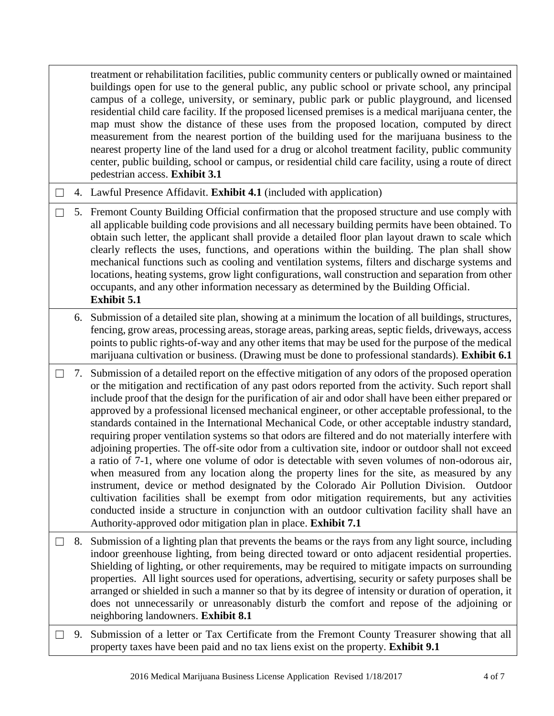|        |    | treatment or rehabilitation facilities, public community centers or publically owned or maintained<br>buildings open for use to the general public, any public school or private school, any principal<br>campus of a college, university, or seminary, public park or public playground, and licensed<br>residential child care facility. If the proposed licensed premises is a medical marijuana center, the<br>map must show the distance of these uses from the proposed location, computed by direct<br>measurement from the nearest portion of the building used for the marijuana business to the<br>nearest property line of the land used for a drug or alcohol treatment facility, public community<br>center, public building, school or campus, or residential child care facility, using a route of direct<br>pedestrian access. Exhibit 3.1                                                                                                                                                                                                                                                                                                                                                                                                                                                |
|--------|----|-----------------------------------------------------------------------------------------------------------------------------------------------------------------------------------------------------------------------------------------------------------------------------------------------------------------------------------------------------------------------------------------------------------------------------------------------------------------------------------------------------------------------------------------------------------------------------------------------------------------------------------------------------------------------------------------------------------------------------------------------------------------------------------------------------------------------------------------------------------------------------------------------------------------------------------------------------------------------------------------------------------------------------------------------------------------------------------------------------------------------------------------------------------------------------------------------------------------------------------------------------------------------------------------------------------|
| $\Box$ |    | 4. Lawful Presence Affidavit. Exhibit 4.1 (included with application)                                                                                                                                                                                                                                                                                                                                                                                                                                                                                                                                                                                                                                                                                                                                                                                                                                                                                                                                                                                                                                                                                                                                                                                                                                     |
|        |    | 5. Fremont County Building Official confirmation that the proposed structure and use comply with<br>all applicable building code provisions and all necessary building permits have been obtained. To<br>obtain such letter, the applicant shall provide a detailed floor plan layout drawn to scale which<br>clearly reflects the uses, functions, and operations within the building. The plan shall show<br>mechanical functions such as cooling and ventilation systems, filters and discharge systems and<br>locations, heating systems, grow light configurations, wall construction and separation from other<br>occupants, and any other information necessary as determined by the Building Official.<br><b>Exhibit 5.1</b>                                                                                                                                                                                                                                                                                                                                                                                                                                                                                                                                                                      |
|        |    | 6. Submission of a detailed site plan, showing at a minimum the location of all buildings, structures,<br>fencing, grow areas, processing areas, storage areas, parking areas, septic fields, driveways, access<br>points to public rights-of-way and any other items that may be used for the purpose of the medical<br>marijuana cultivation or business. (Drawing must be done to professional standards). Exhibit 6.1                                                                                                                                                                                                                                                                                                                                                                                                                                                                                                                                                                                                                                                                                                                                                                                                                                                                                 |
|        | 7. | Submission of a detailed report on the effective mitigation of any odors of the proposed operation<br>or the mitigation and rectification of any past odors reported from the activity. Such report shall<br>include proof that the design for the purification of air and odor shall have been either prepared or<br>approved by a professional licensed mechanical engineer, or other acceptable professional, to the<br>standards contained in the International Mechanical Code, or other acceptable industry standard,<br>requiring proper ventilation systems so that odors are filtered and do not materially interfere with<br>adjoining properties. The off-site odor from a cultivation site, indoor or outdoor shall not exceed<br>a ratio of 7-1, where one volume of odor is detectable with seven volumes of non-odorous air,<br>when measured from any location along the property lines for the site, as measured by any<br>instrument, device or method designated by the Colorado Air Pollution Division.<br>Outdoor<br>cultivation facilities shall be exempt from odor mitigation requirements, but any activities<br>conducted inside a structure in conjunction with an outdoor cultivation facility shall have an<br>Authority-approved odor mitigation plan in place. Exhibit 7.1 |
|        |    | 8. Submission of a lighting plan that prevents the beams or the rays from any light source, including<br>indoor greenhouse lighting, from being directed toward or onto adjacent residential properties.<br>Shielding of lighting, or other requirements, may be required to mitigate impacts on surrounding<br>properties. All light sources used for operations, advertising, security or safety purposes shall be<br>arranged or shielded in such a manner so that by its degree of intensity or duration of operation, it<br>does not unnecessarily or unreasonably disturb the comfort and repose of the adjoining or<br>neighboring landowners. Exhibit 8.1                                                                                                                                                                                                                                                                                                                                                                                                                                                                                                                                                                                                                                         |
|        |    | 9. Submission of a letter or Tax Certificate from the Fremont County Treasurer showing that all<br>property taxes have been paid and no tax liens exist on the property. Exhibit 9.1                                                                                                                                                                                                                                                                                                                                                                                                                                                                                                                                                                                                                                                                                                                                                                                                                                                                                                                                                                                                                                                                                                                      |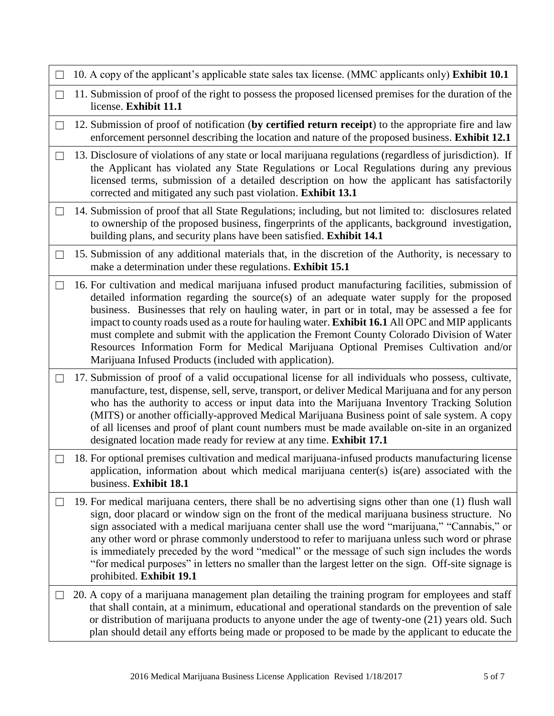|                   | 10. A copy of the applicant's applicable state sales tax license. (MMC applicants only) Exhibit 10.1                                                                                                                                                                                                                                                                                                                                                                                                                                                                                                                                                      |
|-------------------|-----------------------------------------------------------------------------------------------------------------------------------------------------------------------------------------------------------------------------------------------------------------------------------------------------------------------------------------------------------------------------------------------------------------------------------------------------------------------------------------------------------------------------------------------------------------------------------------------------------------------------------------------------------|
| $\mathbf{L}$      | 11. Submission of proof of the right to possess the proposed licensed premises for the duration of the<br>license. Exhibit 11.1                                                                                                                                                                                                                                                                                                                                                                                                                                                                                                                           |
| $\Box$            | 12. Submission of proof of notification (by certified return receipt) to the appropriate fire and law<br>enforcement personnel describing the location and nature of the proposed business. Exhibit 12.1                                                                                                                                                                                                                                                                                                                                                                                                                                                  |
| $\mathbf{L}$      | 13. Disclosure of violations of any state or local marijuana regulations (regardless of jurisdiction). If<br>the Applicant has violated any State Regulations or Local Regulations during any previous<br>licensed terms, submission of a detailed description on how the applicant has satisfactorily<br>corrected and mitigated any such past violation. Exhibit 13.1                                                                                                                                                                                                                                                                                   |
| $\mathsf{L}$      | 14. Submission of proof that all State Regulations; including, but not limited to: disclosures related<br>to ownership of the proposed business, fingerprints of the applicants, background investigation,<br>building plans, and security plans have been satisfied. Exhibit 14.1                                                                                                                                                                                                                                                                                                                                                                        |
| $\vert \ \ \vert$ | 15. Submission of any additional materials that, in the discretion of the Authority, is necessary to<br>make a determination under these regulations. Exhibit 15.1                                                                                                                                                                                                                                                                                                                                                                                                                                                                                        |
| ⊔                 | 16. For cultivation and medical marijuana infused product manufacturing facilities, submission of<br>detailed information regarding the source(s) of an adequate water supply for the proposed<br>business. Businesses that rely on hauling water, in part or in total, may be assessed a fee for<br>impact to county roads used as a route for hauling water. Exhibit 16.1 All OPC and MIP applicants<br>must complete and submit with the application the Fremont County Colorado Division of Water<br>Resources Information Form for Medical Marijuana Optional Premises Cultivation and/or<br>Marijuana Infused Products (included with application). |
|                   | 17. Submission of proof of a valid occupational license for all individuals who possess, cultivate,<br>manufacture, test, dispense, sell, serve, transport, or deliver Medical Marijuana and for any person<br>who has the authority to access or input data into the Marijuana Inventory Tracking Solution<br>(MITS) or another officially-approved Medical Marijuana Business point of sale system. A copy<br>of all licenses and proof of plant count numbers must be made available on-site in an organized<br>designated location made ready for review at any time. Exhibit 17.1                                                                    |
| $\mathsf{L}$      | 18. For optional premises cultivation and medical marijuana-infused products manufacturing license<br>application, information about which medical marijuana center(s) is(are) associated with the<br>business. Exhibit 18.1                                                                                                                                                                                                                                                                                                                                                                                                                              |
|                   | 19. For medical marijuana centers, there shall be no advertising signs other than one (1) flush wall<br>sign, door placard or window sign on the front of the medical marijuana business structure. No<br>sign associated with a medical marijuana center shall use the word "marijuana," "Cannabis," or<br>any other word or phrase commonly understood to refer to marijuana unless such word or phrase<br>is immediately preceded by the word "medical" or the message of such sign includes the words<br>"for medical purposes" in letters no smaller than the largest letter on the sign. Off-site signage is<br>prohibited. Exhibit 19.1            |
|                   | 20. A copy of a marijuana management plan detailing the training program for employees and staff<br>that shall contain, at a minimum, educational and operational standards on the prevention of sale<br>or distribution of marijuana products to anyone under the age of twenty-one (21) years old. Such<br>plan should detail any efforts being made or proposed to be made by the applicant to educate the                                                                                                                                                                                                                                             |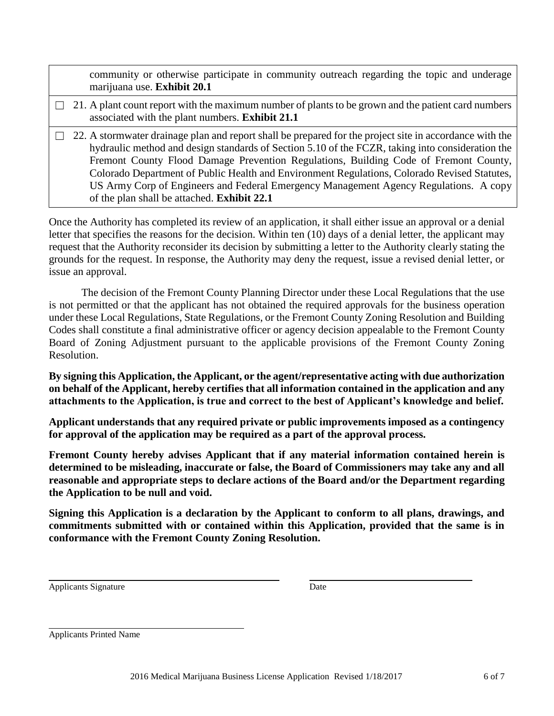|  | community or otherwise participate in community outreach regarding the topic and underage<br>marijuana use. Exhibit 20.1                                                                                                                                                                                                                                                                                                                                                                                                                    |
|--|---------------------------------------------------------------------------------------------------------------------------------------------------------------------------------------------------------------------------------------------------------------------------------------------------------------------------------------------------------------------------------------------------------------------------------------------------------------------------------------------------------------------------------------------|
|  | 21. A plant count report with the maximum number of plants to be grown and the patient card numbers<br>associated with the plant numbers. Exhibit 21.1                                                                                                                                                                                                                                                                                                                                                                                      |
|  | 22. A stormwater drainage plan and report shall be prepared for the project site in accordance with the<br>hydraulic method and design standards of Section 5.10 of the FCZR, taking into consideration the<br>Fremont County Flood Damage Prevention Regulations, Building Code of Fremont County,<br>Colorado Department of Public Health and Environment Regulations, Colorado Revised Statutes,<br>US Army Corp of Engineers and Federal Emergency Management Agency Regulations. A copy<br>of the plan shall be attached. Exhibit 22.1 |

Once the Authority has completed its review of an application, it shall either issue an approval or a denial letter that specifies the reasons for the decision. Within ten (10) days of a denial letter, the applicant may request that the Authority reconsider its decision by submitting a letter to the Authority clearly stating the grounds for the request. In response, the Authority may deny the request, issue a revised denial letter, or issue an approval.

The decision of the Fremont County Planning Director under these Local Regulations that the use is not permitted or that the applicant has not obtained the required approvals for the business operation under these Local Regulations, State Regulations, or the Fremont County Zoning Resolution and Building Codes shall constitute a final administrative officer or agency decision appealable to the Fremont County Board of Zoning Adjustment pursuant to the applicable provisions of the Fremont County Zoning Resolution.

**By signing this Application, the Applicant, or the agent/representative acting with due authorization on behalf of the Applicant, hereby certifies that all information contained in the application and any attachments to the Application, is true and correct to the best of Applicant's knowledge and belief.**

**Applicant understands that any required private or public improvements imposed as a contingency for approval of the application may be required as a part of the approval process.**

**Fremont County hereby advises Applicant that if any material information contained herein is determined to be misleading, inaccurate or false, the Board of Commissioners may take any and all reasonable and appropriate steps to declare actions of the Board and/or the Department regarding the Application to be null and void.**

**Signing this Application is a declaration by the Applicant to conform to all plans, drawings, and commitments submitted with or contained within this Application, provided that the same is in conformance with the Fremont County Zoning Resolution.**

Applicants Signature Date

Applicants Printed Name